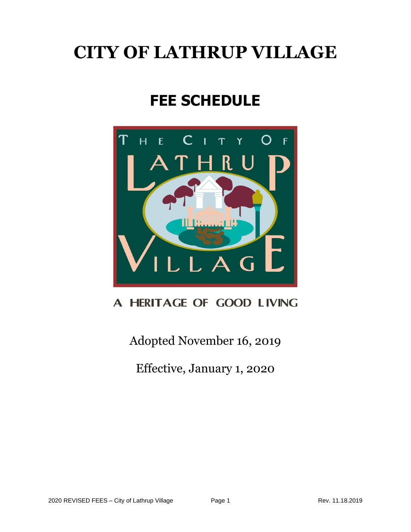# **CITY OF LATHRUP VILLAGE**

# **FEE SCHEDULE**



### A HERITAGE OF GOOD LIVING

Adopted November 16, 2019

Effective, January 1, 2020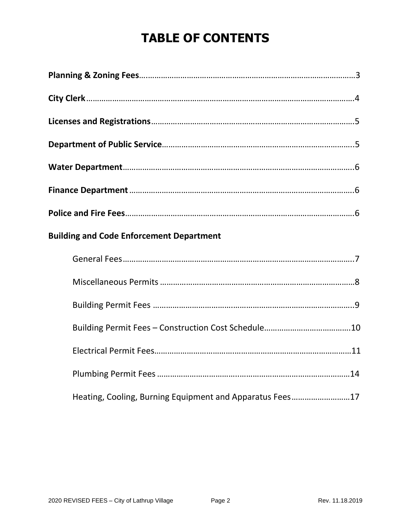## **TABLE OF CONTENTS**

| <b>Building and Code Enforcement Department</b>          |  |
|----------------------------------------------------------|--|
|                                                          |  |
|                                                          |  |
|                                                          |  |
|                                                          |  |
|                                                          |  |
|                                                          |  |
| Heating, Cooling, Burning Equipment and Apparatus Fees17 |  |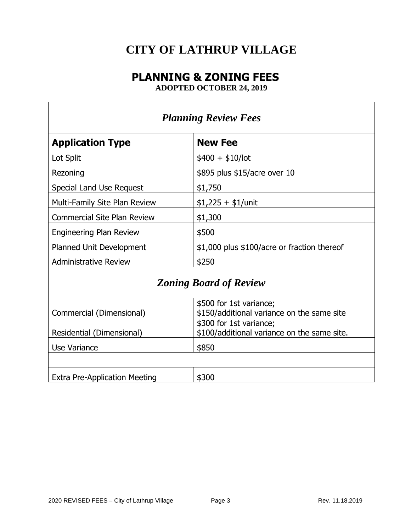### **CITY OF LATHRUP VILLAGE**

### **PLANNING & ZONING FEES**

**ADOPTED OCTOBER 24, 2019**

| <b>Planning Review Fees</b>          |                                                                        |  |  |  |
|--------------------------------------|------------------------------------------------------------------------|--|--|--|
| <b>Application Type</b>              | <b>New Fee</b>                                                         |  |  |  |
| Lot Split                            | $$400 + $10/$ lot                                                      |  |  |  |
| Rezoning                             | \$895 plus \$15/acre over 10                                           |  |  |  |
| Special Land Use Request             | \$1,750                                                                |  |  |  |
| Multi-Family Site Plan Review        | $$1,225 + $1/$ unit                                                    |  |  |  |
| <b>Commercial Site Plan Review</b>   | \$1,300                                                                |  |  |  |
| <b>Engineering Plan Review</b>       | \$500                                                                  |  |  |  |
| Planned Unit Development             | \$1,000 plus \$100/acre or fraction thereof                            |  |  |  |
| <b>Administrative Review</b>         | \$250                                                                  |  |  |  |
| <b>Zoning Board of Review</b>        |                                                                        |  |  |  |
| Commercial (Dimensional)             | \$500 for 1st variance;<br>\$150/additional variance on the same site  |  |  |  |
| Residential (Dimensional)            | \$300 for 1st variance;<br>\$100/additional variance on the same site. |  |  |  |
| Use Variance                         | \$850                                                                  |  |  |  |
|                                      |                                                                        |  |  |  |
| <b>Extra Pre-Application Meeting</b> | \$300                                                                  |  |  |  |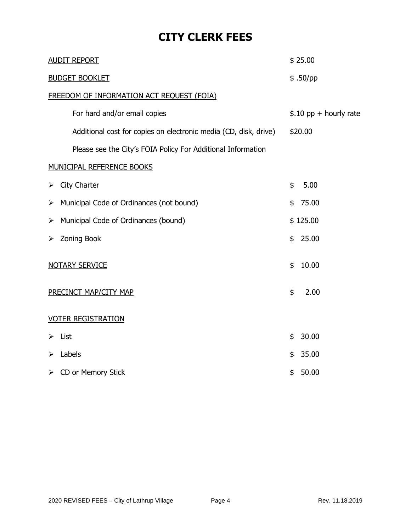### **CITY CLERK FEES**

| <b>AUDIT REPORT</b>                                              | \$25.00                 |
|------------------------------------------------------------------|-------------------------|
| <b>BUDGET BOOKLET</b>                                            | $$.50$ /pp              |
| FREEDOM OF INFORMATION ACT REQUEST (FOIA)                        |                         |
| For hard and/or email copies                                     | $$.10$ pp + hourly rate |
| Additional cost for copies on electronic media (CD, disk, drive) | \$20.00                 |
| Please see the City's FOIA Policy For Additional Information     |                         |
| <b>MUNICIPAL REFERENCE BOOKS</b>                                 |                         |
| City Charter<br>➤                                                | \$<br>5.00              |
| Municipal Code of Ordinances (not bound)<br>➤                    | 75.00<br>\$             |
| Municipal Code of Ordinances (bound)<br>➤                        | \$125.00                |
| Zoning Book<br>➤                                                 | 25.00<br>\$             |
| <b>NOTARY SERVICE</b>                                            | 10.00<br>\$             |
| PRECINCT MAP/CITY MAP                                            | 2.00<br>\$              |
| <b>VOTER REGISTRATION</b>                                        |                         |
| List<br>⋗                                                        | 30.00<br>\$             |
| Labels<br>⋗                                                      | 35.00<br>\$             |
| CD or Memory Stick<br>➤                                          | 50.00<br>\$             |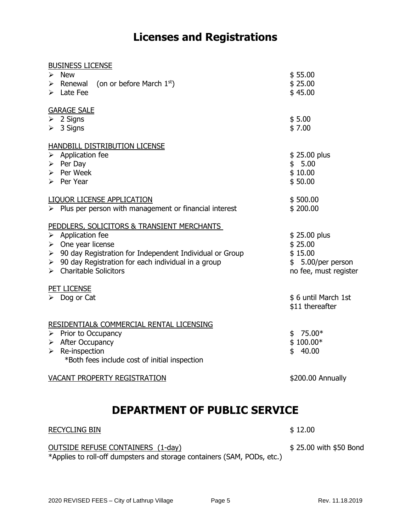### **Licenses and Registrations**

| <b>BUSINESS LICENSE</b>                                                  |                       |
|--------------------------------------------------------------------------|-----------------------|
| $\triangleright$ New                                                     | \$55.00               |
| Expressed $\left($ on or before March 1st)                               | \$25.00               |
| $\triangleright$ Late Fee                                                | \$45.00               |
| <b>GARAGE SALE</b>                                                       |                       |
| $\triangleright$ 2 Signs                                                 | \$5.00                |
| $\triangleright$ 3 Signs                                                 | \$7.00                |
| HANDBILL DISTRIBUTION LICENSE                                            |                       |
| $\triangleright$ Application fee                                         | \$25.00 plus          |
| $\triangleright$ Per Day                                                 | \$5.00                |
| $\triangleright$ Per Week                                                | \$10.00               |
| $\triangleright$ Per Year                                                | \$50.00               |
| <b>LIQUOR LICENSE APPLICATION</b>                                        | \$500.00              |
| $\triangleright$ Plus per person with management or financial interest   | \$200.00              |
| PEDDLERS, SOLICITORS & TRANSIENT MERCHANTS                               |                       |
| $\triangleright$ Application fee                                         | \$25.00 plus          |
| $\triangleright$ One year license                                        | \$25.00               |
| $\triangleright$ 90 day Registration for Independent Individual or Group | \$15.00               |
| $\triangleright$ 90 day Registration for each individual in a group      | $$5.00/per$ person    |
| $\triangleright$ Charitable Solicitors                                   | no fee, must register |
| PET LICENSE                                                              |                       |
| $\triangleright$ Dog or Cat                                              | \$6 until March 1st   |
|                                                                          | \$11 thereafter       |
| RESIDENTIAL& COMMERCIAL RENTAL LICENSING                                 |                       |
| $\triangleright$ Prior to Occupancy                                      | $$75.00*$             |
| $\triangleright$ After Occupancy                                         | $$100.00*$            |
| $\triangleright$ Re-inspection                                           | 40.00<br>\$           |
| *Both fees include cost of initial inspection                            |                       |
| VACANT PROPERTY REGISTRATION                                             | \$200.00 Annually     |

### **DEPARTMENT OF PUBLIC SERVICE**

#### RECYCLING BIN \$12.00

OUTSIDE REFUSE CONTAINERS (1-day) \$ 25.00 with \$50 Bond

\*Applies to roll-off dumpsters and storage containers (SAM, PODs, etc.)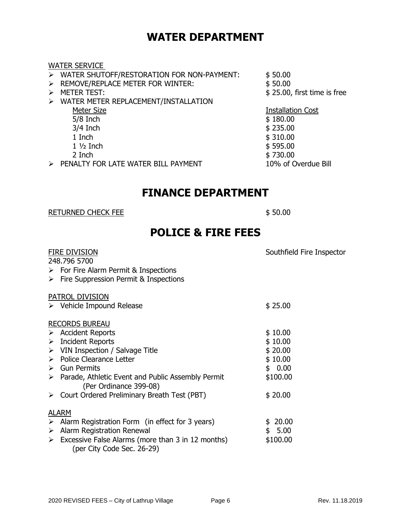### **WATER DEPARTMENT**

#### WATER SERVICE

|                  | . . <i>.</i>                                          |                             |
|------------------|-------------------------------------------------------|-----------------------------|
|                  | > WATER SHUTOFF/RESTORATION FOR NON-PAYMENT:          | \$50.00                     |
|                  | $\triangleright$ REMOVE/REPLACE METER FOR WINTER:     | \$50.00                     |
| $\triangleright$ | <b>METER TEST:</b>                                    | \$25.00, first time is free |
|                  | $\triangleright$ WATER METER REPLACEMENT/INSTALLATION |                             |
|                  | Meter Size                                            | <b>Installation Cost</b>    |
|                  | $5/8$ Inch                                            | \$180.00                    |
|                  | $3/4$ Inch                                            | \$235.00                    |
|                  | 1 Inch                                                | \$310.00                    |
|                  | $1\frac{1}{2}$ Inch                                   | \$595.00                    |
|                  | 2 Inch                                                | \$730.00                    |
|                  | > PENALTY FOR LATE WATER BILL PAYMENT                 | 10% of Overdue Bill         |

### **FINANCE DEPARTMENT**

#### RETURNED CHECK FEE \$ 50.00

### **POLICE & FIRE FEES**

|   | FIRE DIVISION<br>248.796 5700                                                                | Southfield Fire Inspector |
|---|----------------------------------------------------------------------------------------------|---------------------------|
|   | $\triangleright$ For Fire Alarm Permit & Inspections                                         |                           |
|   | $\triangleright$ Fire Suppression Permit & Inspections                                       |                           |
|   | PATROL DIVISION                                                                              |                           |
|   | $\triangleright$ Vehicle Impound Release                                                     | \$25.00                   |
|   | <b>RECORDS BUREAU</b>                                                                        |                           |
|   | <b>Accident Reports</b>                                                                      | \$10.00                   |
| ➤ | <b>Incident Reports</b>                                                                      | \$10.00                   |
|   | $\triangleright$ VIN Inspection / Salvage Title                                              | \$20.00                   |
|   | > Police Clearance Letter                                                                    | \$10.00                   |
| ≻ | <b>Gun Permits</b>                                                                           | \$0.00                    |
|   | $\triangleright$ Parade, Athletic Event and Public Assembly Permit<br>(Per Ordinance 399-08) | \$100.00                  |
|   | $\triangleright$ Court Ordered Preliminary Breath Test (PBT)                                 | \$20.00                   |
|   | <b>ALARM</b>                                                                                 |                           |
| ➤ | Alarm Registration Form (in effect for 3 years)                                              | 20.00<br>\$               |
| ➤ | Alarm Registration Renewal                                                                   | \$5.00                    |
| ➤ | Excessive False Alarms (more than 3 in 12 months)<br>(per City Code Sec. 26-29)              | \$100.00                  |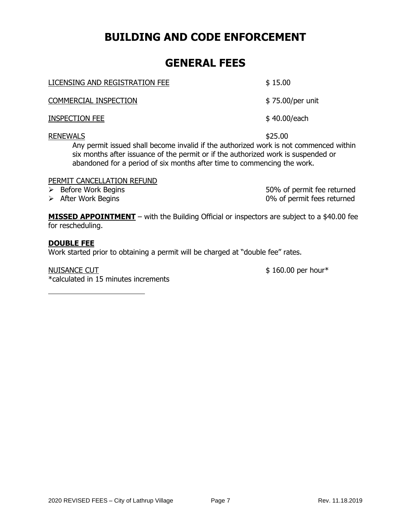### **BUILDING AND CODE ENFORCEMENT**

### **GENERAL FEES**

LICENSING AND REGISTRATION FEE \$15.00

COMMERCIAL INSPECTION \$ 75.00/per unit

INSPECTION FEE \$ 40.00/each

#### RENEWALS \$25.00

Any permit issued shall become invalid if the authorized work is not commenced within six months after issuance of the permit or if the authorized work is suspended or abandoned for a period of six months after time to commencing the work.

#### PERMIT CANCELLATION REFUND

➢ Before Work Begins 50% of permit fee returned ➢ After Work Begins 0% of permit fees returned

**MISSED APPOINTMENT** – with the Building Official or inspectors are subject to a \$40.00 fee for rescheduling.

#### **DOUBLE FEE**

Work started prior to obtaining a permit will be charged at "double fee" rates.

NUISANCE CUT \$160.00 per hour\* \*calculated in 15 minutes increments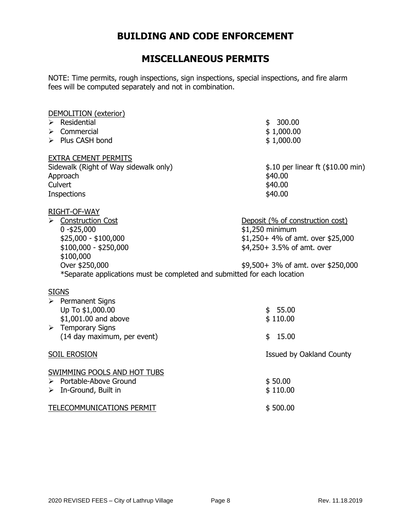### **BUILDING AND CODE ENFORCEMENT**

### **MISCELLANEOUS PERMITS**

NOTE: Time permits, rough inspections, sign inspections, special inspections, and fire alarm fees will be computed separately and not in combination.

| DEMOLITION (exterior)<br>$\triangleright$ Residential<br>Commercial<br>➤<br>> Plus CASH bond                                                                                                                     | \$300.00<br>\$1,000.00<br>\$1,000.00                                                                                                                         |
|------------------------------------------------------------------------------------------------------------------------------------------------------------------------------------------------------------------|--------------------------------------------------------------------------------------------------------------------------------------------------------------|
| <b>EXTRA CEMENT PERMITS</b><br>Sidewalk (Right of Way sidewalk only)<br>Approach<br>Culvert<br><b>Inspections</b>                                                                                                | \$.10 per linear ft (\$10.00 min)<br>\$40.00<br>\$40.00<br>\$40.00                                                                                           |
| RIGHT-OF-WAY<br>> Construction Cost<br>$0 - $25,000$<br>$$25,000 - $100,000$<br>$$100,000 - $250,000$<br>\$100,000<br>Over \$250,000<br>*Separate applications must be completed and submitted for each location | Deposit (% of construction cost)<br>\$1,250 minimum<br>\$1,250+ 4% of amt. over \$25,000<br>\$4,250+ 3.5% of amt. over<br>\$9,500+ 3% of amt. over \$250,000 |
| <b>SIGNS</b><br>$\triangleright$ Permanent Signs<br>Up To \$1,000.00<br>\$1,001.00 and above<br>$\triangleright$ Temporary Signs<br>(14 day maximum, per event)                                                  | \$55.00<br>\$110.00<br>15.00<br>\$                                                                                                                           |
| <b>SOIL EROSION</b>                                                                                                                                                                                              | Issued by Oakland County                                                                                                                                     |
| SWIMMING POOLS AND HOT TUBS<br>$\triangleright$ Portable-Above Ground<br>$\triangleright$ In-Ground, Built in<br>TELECOMMUNICATIONS PERMIT                                                                       | \$50.00<br>\$110.00<br>\$500.00                                                                                                                              |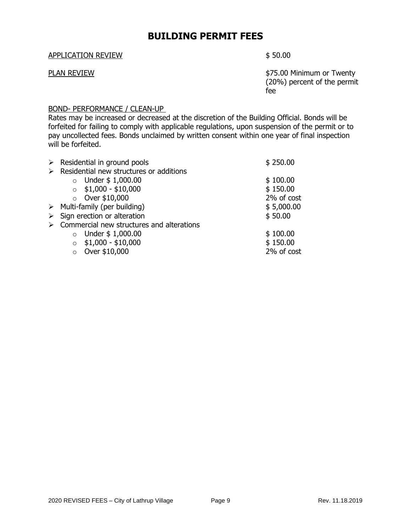### **BUILDING PERMIT FEES**

#### APPLICATION REVIEW \$50.00

PLAN REVIEW **PLAN REVIEW S75.00 Minimum or Twenty** (20%) percent of the permit fee

#### BOND- PERFORMANCE / CLEAN-UP

Rates may be increased or decreased at the discretion of the Building Official. Bonds will be forfeited for failing to comply with applicable regulations, upon suspension of the permit or to pay uncollected fees. Bonds unclaimed by written consent within one year of final inspection will be forfeited.

| ➤                                         | \$250.00                    |
|-------------------------------------------|-----------------------------|
| Residential new structures or additions   |                             |
| Under \$1,000.00<br>$\circ$               | \$100.00                    |
| $$1,000 - $10,000$<br>$\Omega$            | \$150.00                    |
| $\circ$ Over \$10,000                     | 2% of cost                  |
| Multi-family (per building)<br>➤          | \$5,000.00                  |
| Sign erection or alteration               | \$50.00                     |
| Commercial new structures and alterations |                             |
| Under \$1,000.00<br>$\circ$               | \$100.00                    |
| $$1,000 - $10,000$<br>$\Omega$            | \$150.00                    |
| Over \$10,000<br>$\circ$                  | 2% of cost                  |
|                                           | Residential in ground pools |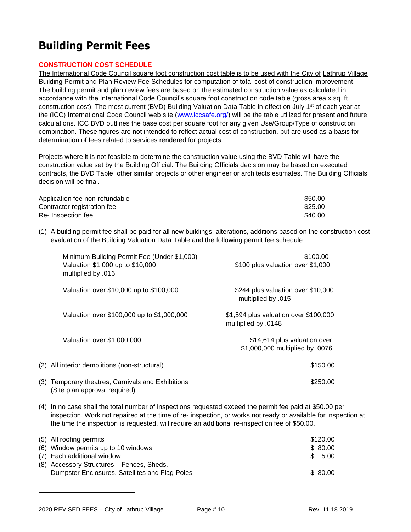### **Building Permit Fees**

#### **CONSTRUCTION COST SCHEDULE**

The International Code Council square foot construction cost table is to be used with the City of Lathrup Village Building Permit and Plan Review Fee Schedules for computation of total cost of construction improvement. The building permit and plan review fees are based on the estimated construction value as calculated in accordance with the International Code Council's square foot construction code table (gross area x sq. ft. construction cost). The most current (BVD) Building Valuation Data Table in effect on July 1<sup>st</sup> of each year at the (ICC) International Code Council web site [\(www.iccsafe.org/\)](http://www.iccsafe.org/) will be the table utilized for present and future calculations. ICC BVD outlines the base cost per square foot for any given Use/Group/Type of construction combination. These figures are not intended to reflect actual cost of construction, but are used as a basis for determination of fees related to services rendered for projects.

Projects where it is not feasible to determine the construction value using the BVD Table will have the construction value set by the Building Official. The Building Officials decision may be based on executed contracts, the BVD Table, other similar projects or other engineer or architects estimates. The Building Officials decision will be final.

| Application fee non-refundable | \$50.00 |
|--------------------------------|---------|
| Contractor registration fee    | \$25.00 |
| Re- Inspection fee             | \$40.00 |

(1) A building permit fee shall be paid for all new buildings, alterations, additions based on the construction cost evaluation of the Building Valuation Data Table and the following permit fee schedule:

| Minimum Building Permit Fee (Under \$1,000)<br>Valuation \$1,000 up to \$10,000<br>multiplied by .016 | \$100.00<br>\$100 plus valuation over \$1,000                   |
|-------------------------------------------------------------------------------------------------------|-----------------------------------------------------------------|
| Valuation over \$10,000 up to \$100,000                                                               | \$244 plus valuation over \$10,000<br>multiplied by .015        |
| Valuation over \$100,000 up to \$1,000,000                                                            | \$1,594 plus valuation over \$100,000<br>multiplied by .0148    |
| Valuation over \$1,000,000                                                                            | \$14,614 plus valuation over<br>\$1,000,000 multiplied by .0076 |
| (2) All interior demolitions (non-structural)                                                         | \$150.00                                                        |
| (3) Temporary theatres, Carnivals and Exhibitions<br>(Site plan approval required)                    | \$250.00                                                        |

(4) In no case shall the total number of inspections requested exceed the permit fee paid at \$50.00 per inspection. Work not repaired at the time of re- inspection, or works not ready or available for inspection at the time the inspection is requested, will require an additional re-inspection fee of \$50.00.

| (5) All roofing permits                        | \$120.00 |  |
|------------------------------------------------|----------|--|
| (6) Window permits up to 10 windows            | \$ 80.00 |  |
| (7) Each additional window                     | \$ 5.00  |  |
| (8) Accessory Structures – Fences, Sheds,      |          |  |
| Dumpster Enclosures, Satellites and Flag Poles | \$80.00  |  |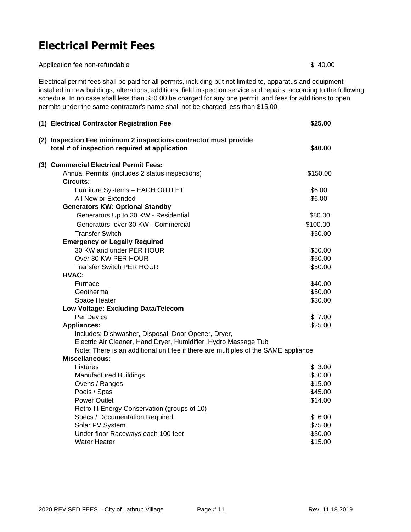### **Electrical Permit Fees**

Application fee non-refundable \$40.00

Electrical permit fees shall be paid for all permits, including but not limited to, apparatus and equipment installed in new buildings, alterations, additions, field inspection service and repairs, according to the following schedule. In no case shall less than \$50.00 be charged for any one permit, and fees for additions to open permits under the same contractor's name shall not be charged less than \$15.00.

| (1) Electrical Contractor Registration Fee                                                                        | \$25.00            |
|-------------------------------------------------------------------------------------------------------------------|--------------------|
| (2) Inspection Fee minimum 2 inspections contractor must provide<br>total # of inspection required at application | \$40.00            |
| (3) Commercial Electrical Permit Fees:                                                                            |                    |
| Annual Permits: (includes 2 status inspections)                                                                   | \$150.00           |
| <b>Circuits:</b>                                                                                                  |                    |
| Furniture Systems - EACH OUTLET                                                                                   | \$6.00             |
| All New or Extended                                                                                               | \$6.00             |
| <b>Generators KW: Optional Standby</b>                                                                            |                    |
| Generators Up to 30 KW - Residential                                                                              | \$80.00            |
| Generators over 30 KW- Commercial                                                                                 | \$100.00           |
| <b>Transfer Switch</b>                                                                                            | \$50.00            |
| <b>Emergency or Legally Required</b>                                                                              |                    |
| 30 KW and under PER HOUR<br>Over 30 KW PER HOUR                                                                   | \$50.00<br>\$50.00 |
| <b>Transfer Switch PER HOUR</b>                                                                                   | \$50.00            |
| HVAC:                                                                                                             |                    |
| Furnace                                                                                                           | \$40.00            |
| Geothermal                                                                                                        | \$50.00            |
| Space Heater                                                                                                      | \$30.00            |
| Low Voltage: Excluding Data/Telecom                                                                               |                    |
| Per Device                                                                                                        | \$7.00             |
| <b>Appliances:</b>                                                                                                | \$25.00            |
| Includes: Dishwasher, Disposal, Door Opener, Dryer,                                                               |                    |
| Electric Air Cleaner, Hand Dryer, Humidifier, Hydro Massage Tub                                                   |                    |
| Note: There is an additional unit fee if there are multiples of the SAME appliance                                |                    |
| <b>Miscellaneous:</b>                                                                                             |                    |
| <b>Fixtures</b>                                                                                                   | \$3.00             |
| <b>Manufactured Buildings</b>                                                                                     | \$50.00            |
| Ovens / Ranges                                                                                                    | \$15.00            |
| Pools / Spas                                                                                                      | \$45.00            |
| <b>Power Outlet</b>                                                                                               | \$14.00            |
| Retro-fit Energy Conservation (groups of 10)                                                                      |                    |
| Specs / Documentation Required.                                                                                   | \$6.00             |
| Solar PV System                                                                                                   | \$75.00            |
| Under-floor Raceways each 100 feet                                                                                | \$30.00            |
| <b>Water Heater</b>                                                                                               | \$15.00            |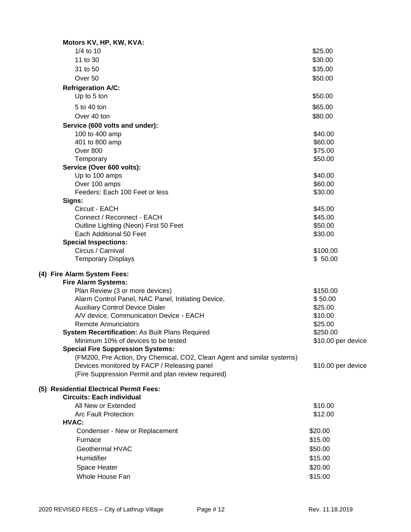| Motors KV, HP, KW, KVA:                                                 |                    |
|-------------------------------------------------------------------------|--------------------|
| 1/4 to 10                                                               | \$25.00            |
| 11 to 30                                                                | \$30.00            |
| 31 to 50                                                                | \$35.00            |
| Over <sub>50</sub>                                                      | \$50.00            |
| <b>Refrigeration A/C:</b>                                               |                    |
| Up to 5 ton                                                             | \$50.00            |
| 5 to 40 ton                                                             | \$65.00            |
| Over 40 ton                                                             | \$80.00            |
|                                                                         |                    |
| Service (600 volts and under):<br>100 to 400 amp                        | \$40.00            |
| 401 to 800 amp                                                          | \$60.00            |
| Over 800                                                                | \$75.00            |
| Temporary                                                               | \$50.00            |
| Service (Over 600 volts):                                               |                    |
| Up to 100 amps                                                          | \$40.00            |
| Over 100 amps                                                           | \$60.00            |
| Feeders: Each 100 Feet or less                                          | \$30.00            |
| Signs:                                                                  |                    |
| Circuit - EACH                                                          | \$45.00            |
| Connect / Reconnect - EACH                                              | \$45.00            |
| Outline Lighting (Neon) First 50 Feet                                   | \$50.00            |
| Each Additional 50 Feet                                                 | \$30.00            |
| <b>Special Inspections:</b>                                             |                    |
| Circus / Carnival                                                       | \$100.00           |
| <b>Temporary Displays</b>                                               | \$50.00            |
| (4) Fire Alarm System Fees:                                             |                    |
| <b>Fire Alarm Systems:</b>                                              |                    |
| Plan Review (3 or more devices)                                         | \$150.00           |
| Alarm Control Panel, NAC Panel, Initiating Device,                      | \$50.00            |
| <b>Auxiliary Control Device Dialer</b>                                  | \$25.00            |
| A/V device, Communication Device - EACH                                 | \$10.00            |
| <b>Remote Annunciators</b>                                              | \$25.00            |
| System Recertification: As Built Plans Required                         | \$250.00           |
| Minimum 10% of devices to be tested                                     | \$10.00 per device |
| <b>Special Fire Suppression Systems:</b>                                |                    |
| (FM200, Pre Action, Dry Chemical, CO2, Clean Agent and similar systems) |                    |
| Devices monitored by FACP / Releasing panel                             | \$10.00 per device |
| (Fire Suppression Permit and plan review required)                      |                    |
| (5) Residential Electrical Permit Fees:                                 |                    |
| <b>Circuits: Each individual</b>                                        |                    |
| All New or Extended                                                     | \$10.00            |
| <b>Arc Fault Protection</b>                                             | \$12.00            |
| HVAC:                                                                   |                    |
| Condenser - New or Replacement                                          | \$20.00            |
| Furnace                                                                 | \$15.00            |
| Geothermal HVAC                                                         | \$50.00            |
| Humidifier                                                              | \$15.00            |
| Space Heater                                                            | \$20.00            |
| Whole House Fan                                                         | \$15.00            |
|                                                                         |                    |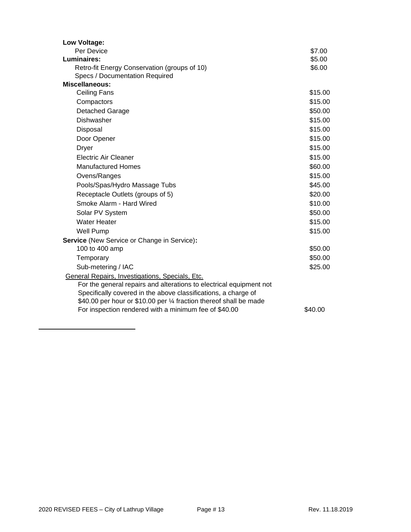| Low Voltage:                                                        |         |
|---------------------------------------------------------------------|---------|
| Per Device                                                          | \$7.00  |
| Luminaires:                                                         | \$5.00  |
| Retro-fit Energy Conservation (groups of 10)                        | \$6.00  |
| Specs / Documentation Required                                      |         |
| Miscellaneous:                                                      |         |
| <b>Ceiling Fans</b>                                                 | \$15.00 |
| Compactors                                                          | \$15.00 |
| <b>Detached Garage</b>                                              | \$50.00 |
| <b>Dishwasher</b>                                                   | \$15.00 |
| Disposal                                                            | \$15.00 |
| Door Opener                                                         | \$15.00 |
| <b>Dryer</b>                                                        | \$15.00 |
| <b>Electric Air Cleaner</b>                                         | \$15.00 |
| <b>Manufactured Homes</b>                                           | \$60.00 |
| Ovens/Ranges                                                        | \$15.00 |
| Pools/Spas/Hydro Massage Tubs                                       | \$45.00 |
| Receptacle Outlets (groups of 5)                                    | \$20.00 |
| Smoke Alarm - Hard Wired                                            | \$10.00 |
| Solar PV System                                                     | \$50.00 |
| <b>Water Heater</b>                                                 | \$15.00 |
| <b>Well Pump</b>                                                    | \$15.00 |
| <b>Service (New Service or Change in Service):</b>                  |         |
| 100 to 400 amp                                                      | \$50.00 |
| Temporary                                                           | \$50.00 |
| Sub-metering / IAC                                                  | \$25.00 |
| General Repairs, Investigations, Specials, Etc.                     |         |
| For the general repairs and alterations to electrical equipment not |         |
| Specifically covered in the above classifications, a charge of      |         |
| \$40.00 per hour or \$10.00 per 1⁄4 fraction thereof shall be made  |         |
| For inspection rendered with a minimum fee of \$40.00               | \$40.00 |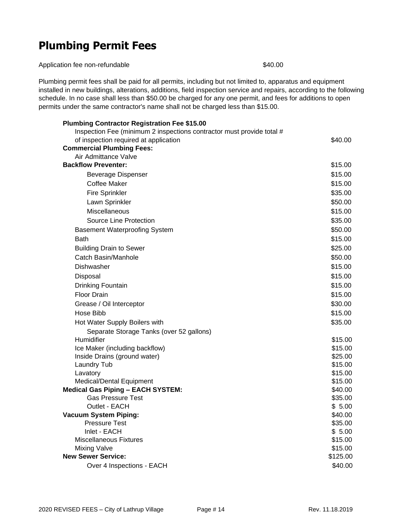### **Plumbing Permit Fees**

Application fee non-refundable \$40.00

Plumbing permit fees shall be paid for all permits, including but not limited to, apparatus and equipment installed in new buildings, alterations, additions, field inspection service and repairs, according to the following schedule. In no case shall less than \$50.00 be charged for any one permit, and fees for additions to open permits under the same contractor's name shall not be charged less than \$15.00.

| <b>Plumbing Contractor Registration Fee \$15.00</b>                   |          |
|-----------------------------------------------------------------------|----------|
| Inspection Fee (minimum 2 inspections contractor must provide total # |          |
| of inspection required at application                                 | \$40.00  |
| <b>Commercial Plumbing Fees:</b>                                      |          |
| Air Admittance Valve                                                  |          |
| <b>Backflow Preventer:</b>                                            | \$15.00  |
| <b>Beverage Dispenser</b>                                             | \$15.00  |
| Coffee Maker                                                          | \$15.00  |
| <b>Fire Sprinkler</b>                                                 | \$35.00  |
| Lawn Sprinkler                                                        | \$50.00  |
| Miscellaneous                                                         | \$15.00  |
| Source Line Protection                                                | \$35.00  |
| <b>Basement Waterproofing System</b>                                  | \$50.00  |
| <b>Bath</b>                                                           | \$15.00  |
| <b>Building Drain to Sewer</b>                                        | \$25.00  |
| Catch Basin/Manhole                                                   | \$50.00  |
| Dishwasher                                                            | \$15.00  |
| Disposal                                                              | \$15.00  |
| Drinking Fountain                                                     | \$15.00  |
| <b>Floor Drain</b>                                                    | \$15.00  |
| Grease / Oil Interceptor                                              | \$30.00  |
| Hose Bibb                                                             | \$15.00  |
| Hot Water Supply Boilers with                                         | \$35.00  |
| Separate Storage Tanks (over 52 gallons)                              |          |
| Humidifier                                                            | \$15.00  |
| Ice Maker (including backflow)                                        | \$15.00  |
| Inside Drains (ground water)                                          | \$25.00  |
| Laundry Tub                                                           | \$15.00  |
| Lavatory                                                              | \$15.00  |
| Medical/Dental Equipment                                              | \$15.00  |
| <b>Medical Gas Piping - EACH SYSTEM:</b>                              | \$40.00  |
| <b>Gas Pressure Test</b>                                              | \$35.00  |
| Outlet - EACH                                                         | \$5.00   |
| <b>Vacuum System Piping:</b>                                          | \$40.00  |
| <b>Pressure Test</b>                                                  | \$35.00  |
| Inlet - EACH                                                          | \$5.00   |
| <b>Miscellaneous Fixtures</b>                                         | \$15.00  |
| <b>Mixing Valve</b>                                                   | \$15.00  |
| <b>New Sewer Service:</b>                                             | \$125.00 |
| Over 4 Inspections - EACH                                             | \$40.00  |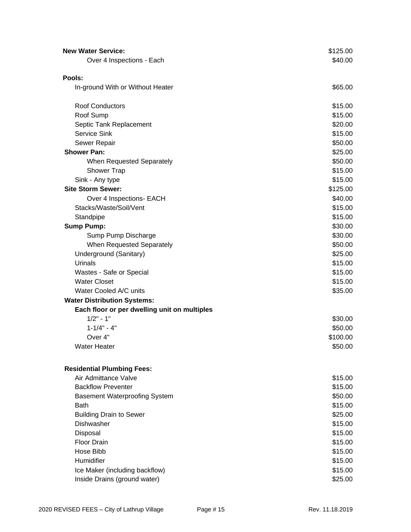| <b>New Water Service:</b>                                 | \$125.00 |
|-----------------------------------------------------------|----------|
| Over 4 Inspections - Each                                 | \$40.00  |
|                                                           |          |
| Pools:                                                    |          |
| In-ground With or Without Heater                          | \$65.00  |
| <b>Roof Conductors</b>                                    | \$15.00  |
| Roof Sump                                                 | \$15.00  |
| Septic Tank Replacement                                   | \$20.00  |
| Service Sink                                              | \$15.00  |
| Sewer Repair                                              | \$50.00  |
| <b>Shower Pan:</b>                                        | \$25.00  |
| When Requested Separately                                 | \$50.00  |
| Shower Trap                                               | \$15.00  |
| Sink - Any type                                           | \$15.00  |
| <b>Site Storm Sewer:</b>                                  | \$125.00 |
| Over 4 Inspections- EACH                                  | \$40.00  |
| Stacks/Waste/Soil/Vent                                    | \$15.00  |
| Standpipe                                                 | \$15.00  |
| <b>Sump Pump:</b>                                         | \$30.00  |
| Sump Pump Discharge                                       | \$30.00  |
| When Requested Separately                                 | \$50.00  |
| Underground (Sanitary)                                    | \$25.00  |
| Urinals                                                   | \$15.00  |
| Wastes - Safe or Special                                  | \$15.00  |
| <b>Water Closet</b>                                       | \$15.00  |
| Water Cooled A/C units                                    | \$35.00  |
| <b>Water Distribution Systems:</b>                        |          |
| Each floor or per dwelling unit on multiples              |          |
| $1/2" - 1"$                                               | \$30.00  |
| $1 - 1/4" - 4"$                                           | \$50.00  |
| Over 4"                                                   | \$100.00 |
| <b>Water Heater</b>                                       | \$50.00  |
|                                                           |          |
| <b>Residential Plumbing Fees:</b><br>Air Admittance Valve | \$15.00  |
| <b>Backflow Preventer</b>                                 | \$15.00  |
| <b>Basement Waterproofing System</b>                      | \$50.00  |
| <b>Bath</b>                                               | \$15.00  |
| <b>Building Drain to Sewer</b>                            | \$25.00  |
| Dishwasher                                                | \$15.00  |
| Disposal                                                  | \$15.00  |
| Floor Drain                                               | \$15.00  |
| Hose Bibb                                                 | \$15.00  |
| Humidifier                                                | \$15.00  |
| Ice Maker (including backflow)                            | \$15.00  |
| Inside Drains (ground water)                              | \$25.00  |
|                                                           |          |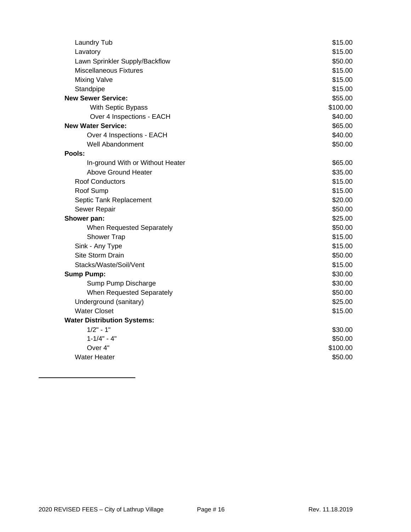| <b>Laundry Tub</b>                 | \$15.00  |
|------------------------------------|----------|
| Lavatory                           | \$15.00  |
| Lawn Sprinkler Supply/Backflow     | \$50.00  |
| <b>Miscellaneous Fixtures</b>      | \$15.00  |
| <b>Mixing Valve</b>                | \$15.00  |
| Standpipe                          | \$15.00  |
| <b>New Sewer Service:</b>          | \$55.00  |
| With Septic Bypass                 | \$100.00 |
| Over 4 Inspections - EACH          | \$40.00  |
| <b>New Water Service:</b>          | \$65.00  |
| Over 4 Inspections - EACH          | \$40.00  |
| <b>Well Abandonment</b>            | \$50.00  |
| Pools:                             |          |
| In-ground With or Without Heater   | \$65.00  |
| Above Ground Heater                | \$35.00  |
| <b>Roof Conductors</b>             | \$15.00  |
| Roof Sump                          | \$15.00  |
| Septic Tank Replacement            | \$20.00  |
| Sewer Repair                       | \$50.00  |
| Shower pan:                        | \$25.00  |
| When Requested Separately          | \$50.00  |
| <b>Shower Trap</b>                 | \$15.00  |
| Sink - Any Type                    | \$15.00  |
| Site Storm Drain                   | \$50.00  |
| Stacks/Waste/Soil/Vent             | \$15.00  |
| <b>Sump Pump:</b>                  | \$30.00  |
| Sump Pump Discharge                | \$30.00  |
| When Requested Separately          | \$50.00  |
| Underground (sanitary)             | \$25.00  |
| <b>Water Closet</b>                | \$15.00  |
| <b>Water Distribution Systems:</b> |          |
| $1/2" - 1"$                        | \$30.00  |
| $1 - 1/4" - 4"$                    | \$50.00  |
| Over 4"                            | \$100.00 |
| <b>Water Heater</b>                | \$50.00  |
|                                    |          |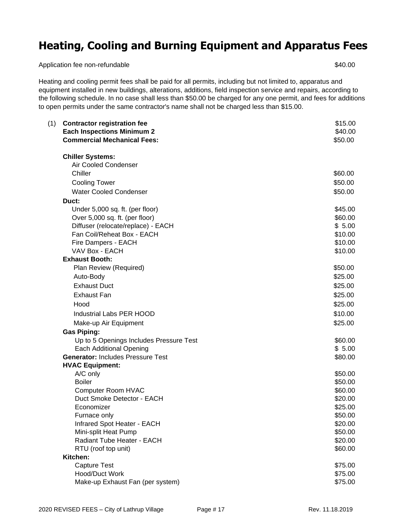### **Heating, Cooling and Burning Equipment and Apparatus Fees**

Application fee non-refundable  $$40.00$ 

Heating and cooling permit fees shall be paid for all permits, including but not limited to, apparatus and equipment installed in new buildings, alterations, additions, field inspection service and repairs, according to the following schedule. In no case shall less than \$50.00 be charged for any one permit, and fees for additions to open permits under the same contractor's name shall not be charged less than \$15.00.

| <b>Contractor registration fee</b><br>(1)<br><b>Each Inspections Minimum 2</b><br><b>Commercial Mechanical Fees:</b> | \$15.00<br>\$40.00<br>\$50.00 |
|----------------------------------------------------------------------------------------------------------------------|-------------------------------|
| <b>Chiller Systems:</b>                                                                                              |                               |
| Air Cooled Condenser                                                                                                 |                               |
| Chiller                                                                                                              | \$60.00                       |
| <b>Cooling Tower</b>                                                                                                 | \$50.00                       |
| <b>Water Cooled Condenser</b>                                                                                        | \$50.00                       |
| Duct:                                                                                                                |                               |
| Under 5,000 sq. ft. (per floor)                                                                                      | \$45.00                       |
| Over 5,000 sq. ft. (per floor)                                                                                       | \$60.00                       |
| Diffuser (relocate/replace) - EACH                                                                                   | \$5.00                        |
| Fan Coil/Reheat Box - EACH                                                                                           | \$10.00                       |
| Fire Dampers - EACH                                                                                                  | \$10.00                       |
| VAV Box - EACH                                                                                                       | \$10.00                       |
| <b>Exhaust Booth:</b>                                                                                                |                               |
| Plan Review (Required)                                                                                               | \$50.00                       |
| Auto-Body                                                                                                            | \$25.00                       |
| <b>Exhaust Duct</b>                                                                                                  | \$25.00                       |
| <b>Exhaust Fan</b>                                                                                                   | \$25.00                       |
| Hood                                                                                                                 | \$25.00                       |
| Industrial Labs PER HOOD                                                                                             | \$10.00                       |
| Make-up Air Equipment                                                                                                | \$25.00                       |
| <b>Gas Piping:</b>                                                                                                   |                               |
| Up to 5 Openings Includes Pressure Test                                                                              | \$60.00                       |
| <b>Each Additional Opening</b>                                                                                       | \$5.00                        |
| <b>Generator: Includes Pressure Test</b>                                                                             | \$80.00                       |
| <b>HVAC Equipment:</b>                                                                                               |                               |
| A/C only                                                                                                             | \$50.00                       |
| <b>Boiler</b>                                                                                                        | \$50.00                       |
| Computer Room HVAC                                                                                                   | \$60.00                       |
| Duct Smoke Detector - EACH                                                                                           | \$20.00                       |
| Economizer                                                                                                           | \$25.00                       |
| Furnace only                                                                                                         | \$50.00                       |
| Infrared Spot Heater - EACH                                                                                          | \$20.00                       |
| Mini-split Heat Pump                                                                                                 | \$50.00                       |
| Radiant Tube Heater - EACH                                                                                           | \$20.00                       |
| RTU (roof top unit)                                                                                                  | \$60.00                       |
| Kitchen:                                                                                                             |                               |
| Capture Test                                                                                                         | \$75.00                       |
| Hood/Duct Work                                                                                                       | \$75.00                       |
| Make-up Exhaust Fan (per system)                                                                                     | \$75.00                       |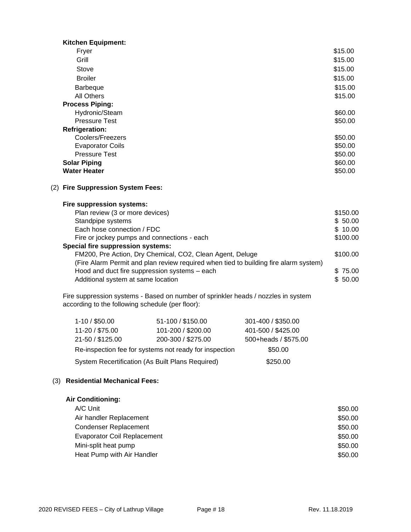| <b>Kitchen Equipment:</b> |         |
|---------------------------|---------|
| Fryer                     | \$15.00 |
| Grill                     | \$15.00 |
| Stove                     | \$15.00 |
| <b>Broiler</b>            | \$15.00 |
| <b>Barbeque</b>           | \$15.00 |
| All Others                | \$15.00 |
| <b>Process Piping:</b>    |         |
| Hydronic/Steam            | \$60.00 |
| <b>Pressure Test</b>      | \$50.00 |
| <b>Refrigeration:</b>     |         |
| Coolers/Freezers          | \$50.00 |
| <b>Evaporator Coils</b>   | \$50.00 |
| <b>Pressure Test</b>      | \$50.00 |
| <b>Solar Piping</b>       | \$60.00 |
| <b>Water Heater</b>       | \$50.00 |

#### (2) **Fire Suppression System Fees:**

#### **Fire suppression systems:**

| Plan review (3 or more devices)                                                      | \$150.00 |
|--------------------------------------------------------------------------------------|----------|
| Standpipe systems                                                                    | \$50.00  |
| Each hose connection / FDC                                                           | \$10.00  |
| Fire or jockey pumps and connections - each                                          | \$100.00 |
| <b>Special fire suppression systems:</b>                                             |          |
| FM200, Pre Action, Dry Chemical, CO2, Clean Agent, Deluge                            | \$100.00 |
| (Fire Alarm Permit and plan review required when tied to building fire alarm system) |          |
| Hood and duct fire suppression systems - each                                        | \$75.00  |
| Additional system at same location                                                   | \$50.00  |
|                                                                                      |          |

Fire suppression systems - Based on number of sprinkler heads / nozzles in system according to the following schedule (per floor):

| $1-10/$ \$50.00                                        | 51-100 / \$150.00  | 301-400 / \$350.00   |
|--------------------------------------------------------|--------------------|----------------------|
| 11-20 / \$75.00                                        | 101-200 / \$200.00 | 401-500 / \$425.00   |
| 21-50 / \$125.00                                       | 200-300 / \$275.00 | 500+heads / \$575.00 |
| Re-inspection fee for systems not ready for inspection |                    | \$50.00              |
| System Recertification (As Built Plans Required)       |                    | \$250.00             |

#### (3) **Residential Mechanical Fees:**

#### **Air Conditioning:**

| A/C Unit                           | \$50.00 |
|------------------------------------|---------|
| Air handler Replacement            | \$50.00 |
| <b>Condenser Replacement</b>       | \$50.00 |
| <b>Evaporator Coil Replacement</b> | \$50.00 |
| Mini-split heat pump               | \$50.00 |
| Heat Pump with Air Handler         | \$50.00 |